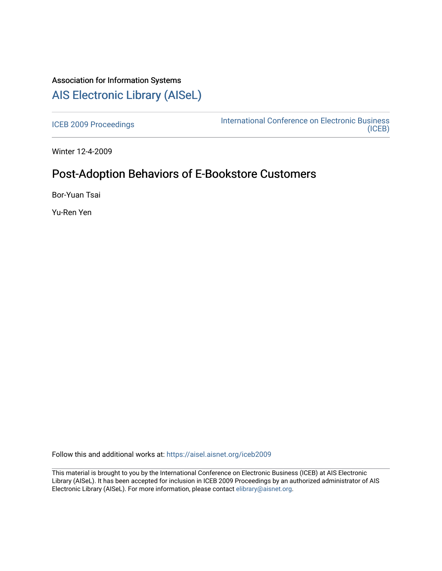# Association for Information Systems

# [AIS Electronic Library \(AISeL\)](https://aisel.aisnet.org/)

[ICEB 2009 Proceedings](https://aisel.aisnet.org/iceb2009) **International Conference on Electronic Business** [\(ICEB\)](https://aisel.aisnet.org/iceb) 

Winter 12-4-2009

# Post-Adoption Behaviors of E-Bookstore Customers

Bor-Yuan Tsai

Yu-Ren Yen

Follow this and additional works at: [https://aisel.aisnet.org/iceb2009](https://aisel.aisnet.org/iceb2009?utm_source=aisel.aisnet.org%2Ficeb2009%2F25&utm_medium=PDF&utm_campaign=PDFCoverPages)

This material is brought to you by the International Conference on Electronic Business (ICEB) at AIS Electronic Library (AISeL). It has been accepted for inclusion in ICEB 2009 Proceedings by an authorized administrator of AIS Electronic Library (AISeL). For more information, please contact [elibrary@aisnet.org.](mailto:elibrary@aisnet.org%3E)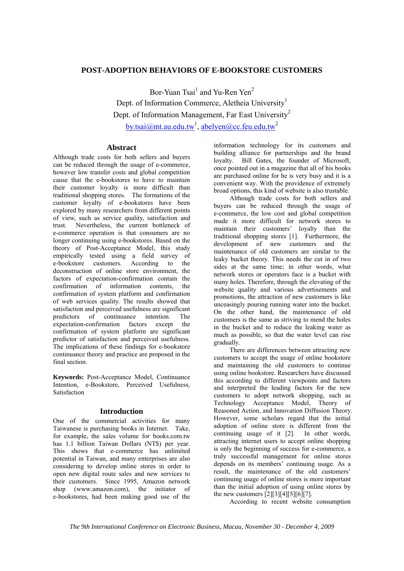## **POST-ADOPTION BEHAVIORS OF E-BOOKSTORE CUSTOMERS**

Bor-Yuan Tsai<sup>1</sup> and Yu-Ren Yen<sup>2</sup> Dept. of Information Commerce, Aletheia University<sup>1</sup> Dept. of Information Management, Far East University<sup>2</sup> <u>by.tsai@mt.au.edu.tw<sup>1</sup>, abelyen@cc.feu.edu.tw</u><sup>2</sup>

## **Abstract**

Although trade costs for both sellers and buyers can be reduced through the usage of e-commerce, however low transfer costs and global competition cause that the e-bookstores to have to maintain their customer loyalty is more difficult than traditional shopping stores. The formations of the customer loyalty of e-bookstores have been explored by many researchers from different points of view, such as service quality, satisfaction and trust. Nevertheless, the current bottleneck of e-commerce operation is that consumers are no longer continuing using e-bookstores. Based on the theory of Post-Acceptance Model, this study empirically tested using a field survey of e-bookstore customers. According to the e-bookstore customers. According to the deconstruction of online store environment, the factors of expectation-confirmation contain the confirmation of information contents, the confirmation of system platform and confirmation of web services quality. The results showed that satisfaction and perceived usefulness are significant predictors of continuance intention. The expectation-confirmation factors except the confirmation of system platform are significant predictor of satisfaction and perceived usefulness. The implications of these findings for e-bookstore continuance theory and practice are proposed in the final section.

**Keywords:** Post-Acceptance Model, Continuance Intention, e-Bookstore, Perceived Usefulness, Satisfaction

## **Introduction**

One of the commercial activities for many Taiwanese is purchasing books in Internet. Take, for example, the sales volume for books.com.tw has 1.1 billion Taiwan Dollars (NT\$) per year. This shows that e-commerce has unlimited potential in Taiwan, and many enterprises are also considering to develop online stores in order to open new digital route sales and new services to their customers. Since 1995, Amazon network shop (www.amazon.com), the initiator of e-bookstores, had been making good use of the

information technology for its customers and building alliance for partnerships and the brand lovalty. Bill Gates, the founder of Microsoft, Bill Gates, the founder of Microsoft. once pointed out in a magazine that all of his books are purchased online for he is very busy and it is a convenient way. With the providence of extremely broad options, this kind of website is also trustable.

Although trade costs for both sellers and buyers can be reduced through the usage of e-commerce, the low cost and global competition made it more difficult for network stores to maintain their customers' loyalty than the traditional shopping stores [1]. Furthermore, the development of new customers and the maintenance of old customers are similar to the leaky bucket theory. This needs the cut in of two sides at the same time; in other words, what network stores or operators face is a bucket with many holes. Therefore, through the elevating of the website quality and various advertisements and promotions, the attraction of new customers is like unceasingly pouring running water into the bucket. On the other hand, the maintenance of old customers is the same as striving to mend the holes in the bucket and to reduce the leaking water as much as possible, so that the water level can rise gradually.

There are differences between attracting new customers to accept the usage of online bookstore and maintaining the old customers to continue using online bookstore. Researchers have discussed this according to different viewpoints and factors and interpreted the leading factors for the new customers to adopt network shopping, such as Technology Acceptance Model, Theory of Reasoned Action, and Innovation Diffusion Theory. However, some scholars regard that the initial adoption of online store is different from the continuing usage of it [2]. In other words, attracting internet users to accept online shopping is only the beginning of success for e-commerce, a truly successful management for online stores depends on its members' continuing usage. As a result, the maintenance of the old customers' continuing usage of online stores is more important than the initial adoption of using online stores by the new customers  $[2][3][4][5][6][7]$ .

According to recent website consumption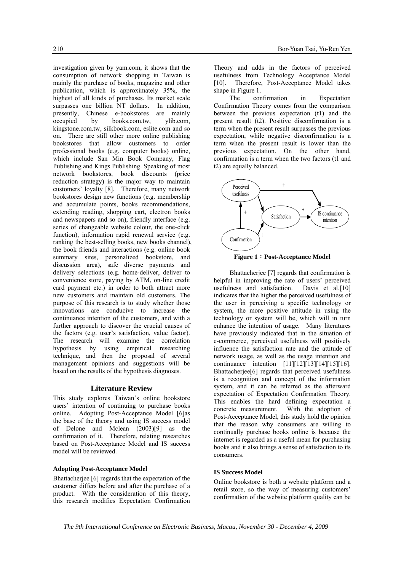investigation given by yam.com, it shows that the consumption of network shopping in Taiwan is mainly the purchase of books, magazine and other publication, which is approximately 35%, the highest of all kinds of purchases. Its market scale surpasses one billion NT dollars. In addition, presently, Chinese e-bookstores are mainly occupied by books.com.tw, ylib.com, kingstone.com.tw, silkbook.com, eslite.com and so on. There are still other more online publishing bookstores that allow customers to order professional books (e.g. computer books) online, which include San Min Book Company, Flag Publishing and Kings Publishing. Speaking of most network bookstores, book discounts (price reduction strategy) is the major way to maintain customers' loyalty [8]. Therefore, many network bookstores design new functions (e.g. membership and accumulate points, books recommendations, extending reading, shopping cart, electron books and newspapers and so on), friendly interface (e.g. series of changeable website colour, the one-click function), information rapid renewal service (e.g. ranking the best-selling books, new books channel), the book friends and interactions (e.g. online book summary sites, personalized bookstore, and discussion area), safe diverse payments and delivery selections (e.g. home-deliver, deliver to convenience store, paying by ATM, on-line credit card payment etc.) in order to both attract more new customers and maintain old customers. The purpose of this research is to study whether those innovations are conducive to increase the continuance intention of the customers, and with a further approach to discover the crucial causes of the factors (e.g. user's satisfaction, value factor). The research will examine the correlation hypothesis by using empirical researching technique, and then the proposal of several management opinions and suggestions will be based on the results of the hypothesis diagnoses.

## **Literature Review**

This study explores Taiwan's online bookstore users' intention of continuing to purchase books online. Adopting Post-Acceptance Model [6]as the base of the theory and using IS success model of Delone and Mclean (2003)[9] as the confirmation of it. Therefore, relating researches based on Post-Acceptance Model and IS success model will be reviewed.

#### **Adopting Post-Acceptance Model**

Bhattacherjee [6] regards that the expectation of the customer differs before and after the purchase of a product. With the consideration of this theory, this research modifies Expectation Confirmation

Theory and adds in the factors of perceived usefulness from Technology Acceptance Model [10]. Therefore, Post-Acceptance Model takes shape in Figure 1.

The confirmation in Expectation Confirmation Theory comes from the comparison between the previous expectation (t1) and the present result (t2). Positive disconfirmation is a term when the present result surpasses the previous expectation, while negative disconfirmation is a term when the present result is lower than the previous expectation. On the other hand, confirmation is a term when the two factors (t1 and t2) are equally balanced.



**Figure 1**:**Post-Acceptance Model**

Bhattacherjee [7] regards that confirmation is helpful in improving the rate of users' perceived usefulness and satisfaction. Davis et al.[10] indicates that the higher the perceived usefulness of the user in perceiving a specific technology or system, the more positive attitude in using the technology or system will be, which will in turn enhance the intention of usage. Many literatures have previously indicated that in the situation of e-commerce, perceived usefulness will positively influence the satisfaction rate and the attitude of network usage, as well as the usage intention and continuance intention [11][12][13][14][15][16]. Bhattacherjee[6] regards that perceived usefulness is a recognition and concept of the information system, and it can be referred as the afterward expectation of Expectation Confirmation Theory. This enables the hard defining expectation a concrete measurement. With the adoption of Post-Acceptance Model, this study hold the opinion that the reason why consumers are willing to continually purchase books online is because the internet is regarded as a useful mean for purchasing books and it also brings a sense of satisfaction to its consumers.

## **IS Success Model**

Online bookstore is both a website platform and a retail store, so the way of measuring customers' confirmation of the website platform quality can be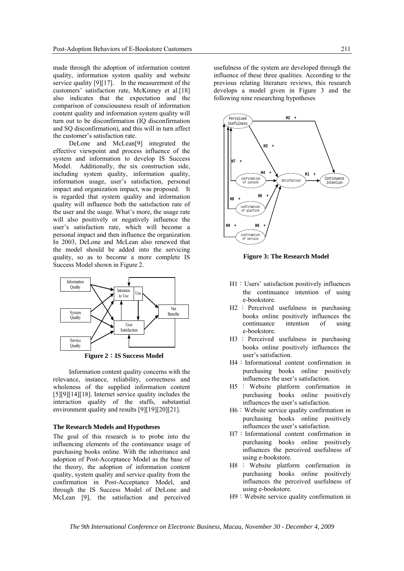made through the adoption of information content quality, information system quality and website service quality [9][17]. In the measurement of the customers' satisfaction rate, McKinney et al.[18] also indicates that the expectation and the comparison of consciousness result of information content quality and information system quality will turn out to be disconfirmation (IQ disconfirmation and SQ disconfirmation), and this will in turn affect the customer's satisfaction rate.

DeLone and McLean[9] integrated the effective viewpoint and process influence of the system and information to develop IS Success Model. Additionally, the six construction side, including system quality, information quality, information usage, user's satisfaction, personal impact and organization impact, was proposed. It is regarded that system quality and information quality will influence both the satisfaction rate of the user and the usage. What's more, the usage rate will also positively or negatively influence the user's satisfaction rate, which will become a personal impact and then influence the organization. In 2003, DeLone and McLean also renewed that the model should be added into the servicing quality, so as to become a more complete IS Success Model shown in Figure 2.



**Figure 2**:**IS Success Model** 

Information content quality concerns with the relevance, instance, reliability, correctness and wholeness of the supplied information content [5][9][14][18]. Internet service quality includes the interaction quality of the staffs, substantial environment quality and results [9][19][20][21].

#### **The Research Models and Hypotheses**

The goal of this research is to probe into the influencing elements of the continuance usage of purchasing books online. With the inheritance and adoption of Post-Acceptance Model as the base of the theory, the adoption of information content quality, system quality and service quality from the confirmation in Post-Acceptance Model, and through the IS Success Model of DeLone and McLean [9], the satisfaction and perceived

usefulness of the system are developed through the influence of these three qualities. According to the previous relating literature reviews, this research develops a model given in Figure 3 and the following nine researching hypotheses



**Figure 3: The Research Model** 

- H1:Users' satisfaction positively influences the continuance intention of using e-bookstore.
- H2 : Perceived usefulness in purchasing books online positively influences the continuance intention of using e-bookstore.
- H3 : Perceived usefulness in purchasing books online positively influences the user's satisfaction.
- H4: Informational content confirmation in purchasing books online positively influences the user's satisfaction.
- H5 : Website platform confirmation in purchasing books online positively influences the user's satisfaction.
- H6: Website service quality confirmation in purchasing books online positively influences the user's satisfaction.
- H7: Informational content confirmation in purchasing books online positively influences the perceived usefulness of using e-bookstore.
- H8 : Website platform confirmation in purchasing books online positively influences the perceived usefulness of using e-bookstore.
- H9: Website service quality confirmation in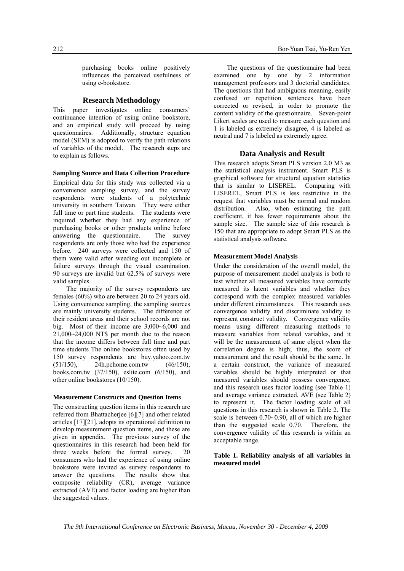purchasing books online positively influences the perceived usefulness of using e-bookstore.

#### **Research Methodology**

This paper investigates online consumers' continuance intention of using online bookstore, and an empirical study will proceed by using questionnaires. Additionally, structure equation model (SEM) is adopted to verify the path relations of variables of the model. The research steps are to explain as follows.

#### **Sampling Source and Data Collection Procedure**

Empirical data for this study was collected via a convenience sampling survey, and the survey respondents were students of a polytechnic university in southern Taiwan. They were either full time or part time students. The students were inquired whether they had any experience of purchasing books or other products online before answering the questionnaire. The survey respondents are only those who had the experience before. 240 surveys were collected and 150 of them were valid after weeding out incomplete or failure surveys through the visual examination. 90 surveys are invalid but 62.5% of surveys were valid samples.

The majority of the survey respondents are females (60%) who are between 20 to 24 years old. Using convenience sampling, the sampling sources are mainly university students. The difference of their resident areas and their school records are not big. Most of their income are 3,000~6,000 and 21,000~24,000 NT\$ per month due to the reason that the income differs between full time and part time students The online bookstores often used by 150 survey respondents are buy.yahoo.com.tw (51/150), 24h.pchome.com.tw (46/150), books.com.tw (37/150), eslite.com (6/150), and other online bookstores (10/150).

#### **Measurement Constructs and Question Items**

The constructing question items in this research are referred from Bhattacherjee [6][7] and other related articles [17][21], adopts its operational definition to develop measurement question items, and these are given in appendix. The previous survey of the questionnaires in this research had been held for three weeks before the formal survey. 20 consumers who had the experience of using online bookstore were invited as survey respondents to answer the questions. The results show that composite reliability (CR), average variance extracted (AVE) and factor loading are higher than the suggested values.

The questions of the questionnaire had been examined one by one by 2 information management professors and 3 doctorial candidates. The questions that had ambiguous meaning, easily confused or repetition sentences have been corrected or revised, in order to promote the content validity of the questionnaire. Seven-point Likert scales are used to measure each question and 1 is labeled as extremely disagree, 4 is labeled as neutral and 7 is labeled as extremely agree.

#### **Data Analysis and Result**

This research adopts Smart PLS version 2.0 M3 as the statistical analysis instrument. Smart PLS is graphical software for structural equation statistics that is similar to LISEREL. Comparing with LISEREL, Smart PLS is less restrictive in the request that variables must be normal and random distribution. Also, when estimating the path coefficient, it has fewer requirements about the sample size. The sample size of this research is 150 that are appropriate to adopt Smart PLS as the statistical analysis software.

#### **Measurement Model Analysis**

Under the consideration of the overall model, the purpose of measurement model analysis is both to test whether all measured variables have correctly measured its latent variables and whether they correspond with the complex measured variables under different circumstances. This research uses convergence validity and discriminate validity to represent construct validity. Convergence validity means using different measuring methods to measure variables from related variables, and it will be the measurement of same object when the correlation degree is high; thus, the score of measurement and the result should be the same. In a certain construct, the variance of measured variables should be highly interpreted or that measured variables should possess convergence, and this research uses factor loading (see Table 1) and average variance extracted, AVE (see Table 2) to represent it. The factor loading scale of all questions in this research is shown in Table 2. The scale is between 0.70~0.90, all of which are higher than the suggested scale 0.70. Therefore, the convergence validity of this research is within an acceptable range.

## **Table 1. Reliability analysis of all variables in measured model**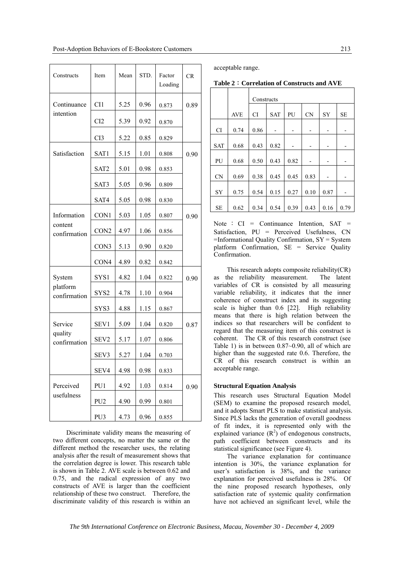| Constructs                             | Item             | Mean | STD. | Factor<br>Loading | <b>CR</b> |
|----------------------------------------|------------------|------|------|-------------------|-----------|
| Continuance                            | CI1              | 5.25 | 0.96 | 0.873             | 0.89      |
| intention                              | CI2              | 5.39 | 0.92 | 0.870             |           |
|                                        | CI3              | 5.22 | 0.85 | 0.829             |           |
| Satisfaction                           | SAT1             | 5.15 | 1.01 | 0.808             | 0.90      |
|                                        | SAT2             | 5.01 | 0.98 | 0.853             |           |
|                                        | SAT3             | 5.05 | 0.96 | 0.809             |           |
|                                        | SAT4             | 5.05 | 0.98 | 0.830             |           |
| Information<br>content<br>confirmation | CON1             | 5.03 | 1.05 | 0.807             | 0.90      |
|                                        | CON <sub>2</sub> | 4.97 | 1.06 | 0.856             |           |
|                                        | CON3             | 5.13 | 0.90 | 0.820             |           |
|                                        | CON <sub>4</sub> | 4.89 | 0.82 | 0.842             |           |
| System                                 | SYS1             | 4.82 | 1.04 | 0.822             | 0.90      |
| platform<br>confirmation               | SYS2             | 4.78 | 1.10 | 0.904             |           |
|                                        | SYS3             | 4.88 | 1.15 | 0.867             |           |
| Service<br>quality<br>confirmation     | SEV1             | 5.09 | 1.04 | 0.820             | 0.87      |
|                                        | SEV <sub>2</sub> | 5.17 | 1.07 | 0.806             |           |
|                                        | SEV3             | 5.27 | 1.04 | 0.703             |           |
|                                        | SEV4             | 4.98 | 0.98 | 0.833             |           |
| Perceived<br>usefulness                | PU1              | 4.92 | 1.03 | 0.814             | 0.90      |
|                                        | PU <sub>2</sub>  | 4.90 | 0.99 | 0.801             |           |
|                                        | PU3              | 4.73 | 0.96 | 0.855             |           |

Discriminate validity means the measuring of two different concepts, no matter the same or the different method the researcher uses, the relating analysis after the result of measurement shows that the correlation degree is lower. This research table is shown in Table 2. AVE scale is between 0.62 and 0.75, and the radical expression of any two constructs of AVE is larger than the coefficient relationship of these two construct. Therefore, the discriminate validity of this research is within an acceptable range.

| Table 2: Correlation of Constructs and AVE |  |  |  |  |  |
|--------------------------------------------|--|--|--|--|--|
|--------------------------------------------|--|--|--|--|--|

|            |            | Constructs |            |      |           |           |      |
|------------|------------|------------|------------|------|-----------|-----------|------|
|            | <b>AVE</b> | <b>CI</b>  | <b>SAT</b> | PU   | <b>CN</b> | <b>SY</b> | SЕ   |
| <b>CI</b>  | 0.74       | 0.86       |            | -    |           | -         |      |
| <b>SAT</b> | 0.68       | 0.43       | 0.82       |      |           |           |      |
| PU         | 0.68       | 0.50       | 0.43       | 0.82 |           |           |      |
| <b>CN</b>  | 0.69       | 0.38       | 0.45       | 0.45 | 0.83      |           |      |
| <b>SY</b>  | 0.75       | 0.54       | 0.15       | 0.27 | 0.10      | 0.87      |      |
| <b>SE</b>  | 0.62       | 0.34       | 0.54       | 0.39 | 0.43      | 0.16      | 0.79 |

Note :  $CI = Continuance$  Intention,  $SAT =$ Satisfaction, PU = Perceived Usefulness, CN  $=$ Informational Quality Confirmation,  $SY = System$ platform Confirmation, SE = Service Quality Confirmation.

This research adopts composite reliability(CR) as the reliability measurement. The latent variables of CR is consisted by all measuring variable reliability, it indicates that the inner coherence of construct index and its suggesting scale is higher than 0.6 [22]. High reliability means that there is high relation between the indices so that researchers will be confident to regard that the measuring item of this construct is coherent. The CR of this research construct (see Table 1) is in between 0.87~0.90, all of which are higher than the suggested rate 0.6. Therefore, the CR of this research construct is within an acceptable range.

#### **Structural Equation Analysis**

This research uses Structural Equation Model (SEM) to examine the proposed research model, and it adopts Smart PLS to make statistical analysis. Since PLS lacks the generation of overall goodness of fit index, it is represented only with the explained variance  $(R^2)$  of endogenous constructs, path coefficient between constructs and its statistical significance (see Figure 4).

The variance explanation for continuance intention is 30%, the variance explanation for user's satisfaction is 38%, and the variance explanation for perceived usefulness is 28%. Of the nine proposed research hypotheses, only satisfaction rate of systemic quality confirmation have not achieved an significant level, while the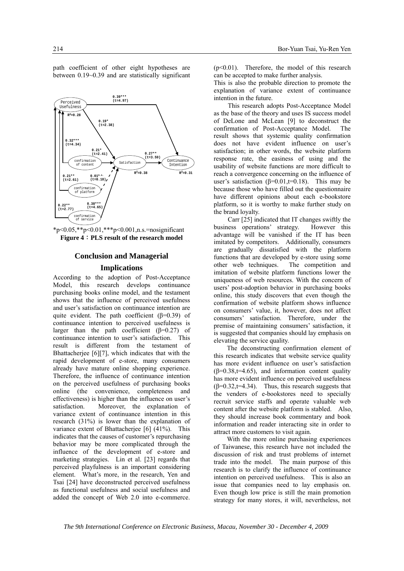path coefficient of other eight hypotheses are between 0.19~0.39 and are statistically significant



 $*_{p<0.05,**p<0.01,***p<0.001,n.s.}$ =nosignificant **Figure 4**:**PLS result of the research model**

### **Conclusion and Managerial**

#### **Implications**

According to the adoption of Post-Acceptance Model, this research develops continuance purchasing books online model, and the testament shows that the influence of perceived usefulness and user's satisfaction on continuance intention are quite evident. The path coefficient  $(\beta=0.39)$  of continuance intention to perceived usefulness is larger than the path coefficient  $(\beta=0.27)$  of continuance intention to user's satisfaction. This result is different from the testament of Bhattacherjee [6][7], which indicates that with the rapid development of e-store, many consumers already have mature online shopping experience. Therefore, the influence of continuance intention on the perceived usefulness of purchasing books online (the convenience, completeness and effectiveness) is higher than the influence on user's satisfaction. Moreover, the explanation of variance extent of continuance intention in this research (31%) is lower than the explanation of variance extent of Bhattacherjee [6] (41%). This indicates that the causes of customer's repurchasing behavior may be more complicated through the influence of the development of e-store and marketing strategies. Lin et al. [23] regards that perceived playfulness is an important considering element. What's more, in the research, Yen and Tsai [24] have deconstructed perceived usefulness as functional usefulness and social usefulness and added the concept of Web 2.0 into e-commerce.

(p<0.01). Therefore, the model of this research can be accepted to make further analysis.

This is also the probable direction to promote the explanation of variance extent of continuance intention in the future.

This research adopts Post-Acceptance Model as the base of the theory and uses IS success model of DeLone and McLean [9] to deconstruct the confirmation of Post-Acceptance Model. The result shows that systemic quality confirmation does not have evident influence on user's satisfaction; in other words, the website platform response rate, the easiness of using and the usability of website functions are more difficult to reach a convergence concerning on the influence of user's satisfaction ( $\beta$ =0.01,t=0.18). This may be because those who have filled out the questionnaire have different opinions about each e-bookstore platform, so it is worthy to make further study on the brand loyalty.

Carr [25] indicated that IT changes swiftly the business operations' strategy. However this advantage will be vanished if the IT has been imitated by competitors. Additionally, consumers are gradually dissatisfied with the platform functions that are developed by e-store using some other web techniques. The competition and imitation of website platform functions lower the uniqueness of web resources. With the concern of users' post-adoption behavior in purchasing books online, this study discovers that even though the confirmation of website platform shows influence on consumers' value, it, however, does not affect consumers' satisfaction. Therefore, under the premise of maintaining consumers' satisfaction, it is suggested that companies should lay emphasis on elevating the service quality.

The deconstructing confirmation element of this research indicates that website service quality has more evident influence on user's satisfaction  $(\beta=0.38,t=4.65)$ , and information content quality has more evident influence on perceived usefulness  $(\beta=0.32, t=4.34)$ . Thus, this research suggests that the venders of e-bookstores need to specially recruit service staffs and operate valuable web content after the website platform is stabled. Also, they should increase book commentary and book information and reader interacting site in order to attract more customers to visit again.

With the more online purchasing experiences of Taiwanese, this research have not included the discussion of risk and trust problems of internet trade into the model. The main purpose of this research is to clarify the influence of continuance intention on perceived usefulness. This is also an issue that companies need to lay emphasis on. Even though low price is still the main promotion strategy for many stores, it will, nevertheless, not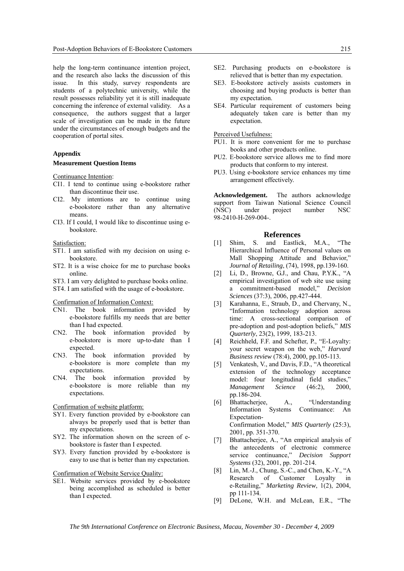help the long-term continuance intention project, and the research also lacks the discussion of this issue. In this study, survey respondents are students of a polytechnic university, while the result possesses reliability yet it is still inadequate concerning the inference of external validity. As a consequence, the authors suggest that a larger scale of investigation can be made in the future under the circumstances of enough budgets and the cooperation of portal sites.

#### **Appendix**

#### **Measurement Question Items**

Continuance Intention:

- CI1. I tend to continue using e-bookstore rather than discontinue their use.
- CI2. My intentions are to continue using e-bookstore rather than any alternative means.
- CI3. If I could, I would like to discontinue using ebookstore.

Satisfaction:

- ST1. I am satisfied with my decision on using ebookstore.
- ST2. It is a wise choice for me to purchase books online.
- ST3. I am very delighted to purchase books online.
- ST4. I am satisfied with the usage of e-bookstore.

Confirmation of Information Context:

- CN1. The book information provided by e-bookstore fulfills my needs that are better than I had expected.
- CN2. The book information provided by e-bookstore is more up-to-date than I expected.
- CN3. The book information provided by e-bookstore is more complete than my expectations.
- CN4. The book information provided by e-bookstore is more reliable than my expectations.

Confirmation of website platform:

- SY1. Every function provided by e-bookstore can always be properly used that is better than my expectations.
- SY2. The information shown on the screen of ebookstore is faster than I expected.
- SY3. Every function provided by e-bookstore is easy to use that is better than my expectation.

Confirmation of Website Service Quality:

SE1. Website services provided by e-bookstore being accomplished as scheduled is better than I expected.

- SE2. Purchasing products on e-bookstore is relieved that is better than my expectation.
- SE3. E-bookstore actively assists customers in choosing and buying products is better than my expectation.
- SE4. Particular requirement of customers being adequately taken care is better than my expectation.

Perceived Usefulness:

- PU1. It is more convenient for me to purchase books and other products online.
- PU2. E-bookstore service allows me to find more products that conform to my interest.
- PU3. Using e-bookstore service enhances my time arrangement effectively.

**Acknowledgement.** The authors acknowledge support from Taiwan National Science Council (NSC) under project number NSC 98-2410-H-269-004-.

## **References**

- [1] Shim, S. and Eastlick, M.A., "The Hierarchical Influence of Personal values on Mall Shopping Attitude and Behavior," *Journal of Retailing*, (74), 1998, pp.139-160.
- [2] Li, D., Browne, G.J., and Chau, P.Y.K., "A empirical investigation of web site use using a commitment-based model," *Decision Sciences* (37:3), 2006, pp.427-444.
- [3] Karahanna, E., Straub, D., and Chervany, N., "Information technology adoption across time: A cross-sectional comparison of pre-adoption and post-adoption beliefs," *MIS Quarterly*, 23(2), 1999, 183-213.
- [4] Reichheld, F.F. and Schefter, P., "E-Loyalty: your secret weapon on the web," *Harvard Business review* (78:4), 2000, pp.105-113.
- [5] Venkatesh, V., and Davis, F.D., "A theoretical extension of the technology acceptance model: four longitudinal field studies," *Management Science* (46:2), 2000, pp.186-204.
- [6] Bhattacherjee, A., "Understanding Information Systems Continuance: An Expectation-Confirmation Model," *MIS Quarterly* (25:3), 2001, pp. 351-370.
- [7] Bhattacherjee, A., "An empirical analysis of the antecedents of electronic commerce service continuance," *Decision Support Systems* (32), 2001, pp. 201-214.
- [8] Lin, M.-J., Chung, S.-C., and Chen, K.-Y., "A Research of Customer Loyalty in e-Retailing," *Marketing Review*, 1(2), 2004, pp 111-134.
- [9] DeLone, W.H. and McLean, E.R., "The